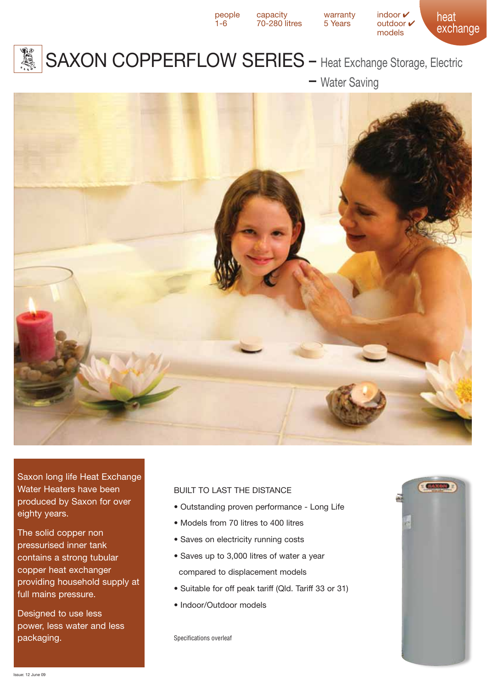

 $70-280$  litres

heat exchange people capacity warranty indoor  $\checkmark$ <br>1-6 70-280 litres 5 Years outdoor  $\checkmark$ models



## SAXON COPPERFLOW SERIES - Heat Exchange Storage, Electric

- Water Saving



Saxon long life Heat Exchange Water Heaters have been produced by Saxon for over eighty years.

The solid copper non pressurised inner tank contains a strong tubular copper heat exchanger providing household supply at full mains pressure.

Designed to use less power, less water and less packaging.

## BUILT TO LAST THE DISTANCE

- Outstanding proven performance Long Life
- Models from 70 litres to 400 litres
- Saves on electricity running costs
- Saves up to 3,000 litres of water a year
- compared to displacement models
- Suitable for off peak tariff (Qld. Tariff 33 or 31)
- Indoor/Outdoor models

Specifications overleaf